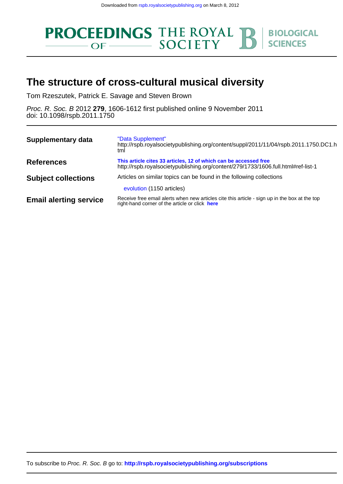

# **The structure of cross-cultural musical diversity**

Tom Rzeszutek, Patrick E. Savage and Steven Brown

doi: 10.1098/rspb.2011.1750 Proc. R. Soc. B 2012 **279**, 1606-1612 first published online 9 November 2011

| Supplementary data            | "Data Supplement"<br>http://rspb.royalsocietypublishing.org/content/suppl/2011/11/04/rspb.2011.1750.DC1.h<br>tml                                                                                                                                           |  |
|-------------------------------|------------------------------------------------------------------------------------------------------------------------------------------------------------------------------------------------------------------------------------------------------------|--|
| <b>References</b>             | This article cites 33 articles, 12 of which can be accessed free<br>http://rspb.royalsocietypublishing.org/content/279/1733/1606.full.html#ref-list-1<br>Articles on similar topics can be found in the following collections<br>evolution (1150 articles) |  |
| <b>Subject collections</b>    |                                                                                                                                                                                                                                                            |  |
| <b>Email alerting service</b> | Receive free email alerts when new articles cite this article - sign up in the box at the top<br>right-hand corner of the article or click here                                                                                                            |  |

To subscribe to Proc. R. Soc. B go to: **<http://rspb.royalsocietypublishing.org/subscriptions>**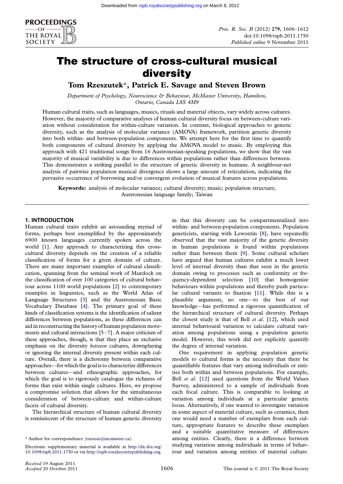

# The structure of cross-cultural musical diversity

Tom Rzeszutek\*, Patrick E. Savage and Steven Brown

Department of Psychology, Neuroscience & Behaviour, McMaster University, Hamilton, Ontario, Canada L8S 4M9

Human cultural traits, such as languages, musics, rituals and material objects, vary widely across cultures. However, the majority of comparative analyses of human cultural diversity focus on between-culture variation without consideration for within-culture variation. In contrast, biological approaches to genetic diversity, such as the analysis of molecular variance (AMOVA) framework, partition genetic diversity into both within- and between-population components. We attempt here for the first time to quantify both components of cultural diversity by applying the AMOVA model to music. By employing this approach with 421 traditional songs from 16 Austronesian-speaking populations, we show that the vast majority of musical variability is due to differences within populations rather than differences between. This demonstrates a striking parallel to the structure of genetic diversity in humans. A neighbour-net analysis of pairwise population musical divergence shows a large amount of reticulation, indicating the pervasive occurrence of borrowing and/or convergent evolution of musical features across populations.

Keywords: analysis of molecular variance; cultural diversity; music; population structure; Austronesian language family; Taiwan

# 1. INTRODUCTION

Human cultural traits exhibit an astounding myriad of forms, perhaps best exemplified by the approximately 6900 known languages currently spoken across the world [\[1\]](#page-6-0). Any approach to characterizing this crosscultural diversity depends on the creation of a reliable classification of forms for a given domain of culture. There are many important examples of cultural classification, spanning from the seminal work of Murdock on the classification of over 100 categories of cultural behaviour across 1100 world populations [[2](#page-6-0)] to contemporary examples in linguistics, such as the World Atlas of Language Structures [[3](#page-6-0)] and the Austronesian Basic Vocabulary Database [[4\]](#page-6-0). The primary goal of these kinds of classification systems is the identification of salient differences between populations, as these differences can aid in reconstructing the history of human population movements and cultural interactions [\[5](#page-6-0)–[7\]](#page-6-0). A major criticism of these approaches, though, is that they place an exclusive emphasis on the diversity between cultures, downplaying or ignoring the internal diversity present within each culture. Overall, there is a dichotomy between comparative approaches—for which the goal is to characterize differences between cultures—and ethnographic approaches, for which the goal is to rigorously catalogue the richness of forms that exist within single cultures. Here, we propose a compromise solution that allows for the simultaneous consideration of between-culture and within-culture facets of cultural diversity.

The hierarchical structure of human cultural diversity is reminiscent of the structure of human genetic diversity

\* Author for correspondence ([rzeszut@mcmaster.ca\)](mailto:rzeszut@mcmaster.ca).

in that this diversity can be compartmentalized into within- and between-population components. Population geneticists, starting with Lewontin [\[8](#page-6-0)], have repeatedly observed that the vast majority of the genetic diversity in human populations is found within populations rather than between them [[9\]](#page-6-0). Some cultural scholars have argued that human cultures exhibit a much lower level of internal diversity than that seen in the genetic domain owing to processes such as conformity or frequency-dependent selection [[10](#page-6-0)] that homogenize behaviours within populations and thereby push particular cultural variants to fixation [\[11\]](#page-6-0). While this is a plausible argument, no one—to the best of our knowledge—has performed a rigorous quantification of the hierarchical structure of cultural diversity. Perhaps the closest study is that of Bell et al. [[12](#page-6-0)], which used internal behavioural variation to calculate cultural variation among populations using a population genetic model. However, this work did not explicitly quantify the degree of internal variation.

One requirement in applying population genetic models to cultural forms is the necessity that there be quantifiable features that vary among individuals or entities both within and between populations. For example, Bell et al. [[12](#page-6-0)] used questions from the World Values Survey, administered to a sample of individuals from each focal culture. This is comparable to looking at variation among individuals at a particular genetic locus. Alternatively, if one wanted to investigate variation in some aspect of material culture, such as ceramics, then one would need a number of exemplars from each culture, appropriate features to describe these exemplars and a suitable quantitative measure of differences among entities. Clearly, there is a difference between studying variation among individuals in terms of behaviour and variation among entities of material culture.

Electronic supplementary material is available at [http://dx.doi.org/](http://dx.doi.org/10.1098/rspb.2011.1750) [10.1098/rspb.2011.1750](http://dx.doi.org/10.1098/rspb.2011.1750) or via <http://rspb.royalsocietypublishing.org>.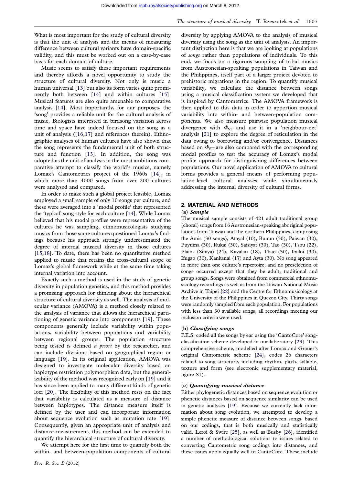What is most important for the study of cultural diversity is that the unit of analysis and the means of measuring difference between cultural variants have domain-specific validity, and this must be worked out on a case-by-case basis for each domain of culture.

Music seems to satisfy these important requirements and thereby affords a novel opportunity to study the structure of cultural diversity. Not only is music a human universal [[13](#page-6-0)] but also its form varies quite prominently both between [[14](#page-6-0)] and within cultures [[15](#page-6-0)]. Musical features are also quite amenable to comparative analysis [[14](#page-6-0)]. Most importantly, for our purposes, the 'song' provides a reliable unit for the cultural analysis of music. Biologists interested in birdsong variation across time and space have indeed focused on the song as a unit of analysis ([[16,17\]](#page-6-0) and references therein). Ethnographic analyses of human cultures have also shown that the song represents the fundamental unit of both structure and function [[13](#page-6-0)]. In addition, the song was adopted as the unit of analysis in the most ambitious comparative attempt to classify the world's musics, namely Lomax's Cantometrics project of the 1960s [[14](#page-6-0)], in which more than 4000 songs from over 200 cultures were analysed and compared.

In order to make such a global project feasible, Lomax employed a small sample of only 10 songs per culture, and these were averaged into a 'modal profile' that represented the 'typical' song style for each culture [[14\]](#page-6-0). While Lomax believed that his modal profiles were representative of the cultures he was sampling, ethnomusicologists studying musics from those same cultures questioned Lomax's findings because his approach strongly underestimated the degree of internal musical diversity in those cultures [\[15,18](#page-6-0)]. To date, there has been no quantitative method applied to music that retains the cross-cultural scope of Lomax's global framework while at the same time taking internal variation into account.

Exactly such a method is used in the study of genetic diversity in population genetics, and this method provides a promising approach for thinking about the hierarchical structure of cultural diversity as well. The analysis of molecular variance (AMOVA) is a method closely related to the analysis of variance that allows the hierarchical partitioning of genetic variance into components [\[19\]](#page-6-0). These components generally include variability within populations, variability between populations and variability between regional groups. The population structure being tested is defined *a priori* by the researcher, and can include divisions based on geographical region or language [\[19\]](#page-6-0). In its original application, AMOVA was designed to investigate molecular diversity based on haplotype restriction polymorphism data, but the generalizability of the method was recognized early on [[19](#page-6-0)] and it has since been applied to many different kinds of genetic loci [[20](#page-7-0)]. The flexibility of this method rests on the fact that variability is calculated as a measure of distance between haplotypes. The distance measure itself is defined by the user and can incorporate information about sequence evolution such as mutation rate [[19](#page-6-0)]. Consequently, given an appropriate unit of analysis and distance measurement, this method can be extended to quantify the hierarchical structure of cultural diversity.

We attempt here for the first time to quantify both the within- and between-population components of cultural diversity by applying AMOVA to the analysis of musical diversity using the song as the unit of analysis. An important distinction here is that we are looking at populations of songs rather than populations of individuals. To this end, we focus on a rigorous sampling of tribal musics from Austronesian-speaking populations in Taiwan and the Philippines, itself part of a larger project devoted to prehistoric migrations in the region. To quantify musical variability, we calculate the distance between songs using a musical classification system we developed that is inspired by Cantometrics. The AMOVA framework is then applied to this data in order to apportion musical variability into within- and between-population components. We also measure pairwise population musical divergence with  $\Phi_{ST}$  and use it in a 'neighbour-net' analysis [\[21\]](#page-7-0) to explore the degree of reticulation in the data owing to borrowing and/or convergence. Distances based on  $\Phi_{ST}$  are also compared with the corresponding modal profiles to test the accuracy of Lomax's modal profile approach for distinguishing differences between populations. Our novel application of AMOVA to cultural forms provides a general means of performing population-level cultural analyses while simultaneously addressing the internal diversity of cultural forms.

# 2. MATERIAL AND METHODS

#### (a) Sample

The musical sample consists of 421 adult traditional group (choral) songs from 16 Austronesian-speaking aboriginal populations from Taiwan and the northern Philippines, comprising the Amis (30 songs), Atayal (10), Bunun (30), Paiwan (30), Puyuma (30), Rukai (30), Saisiyat (30), Tao (30), Tsou (22), Plains (Siraya) (24), Kavalan (18), Thao (30), Ibaloi (30), Ifugao (30), Kankanai (17) and Ayta (30). No song appeared in more than one culture's repertoire, and no preselection of songs occurred except that they be adult, traditional and group songs. Songs were obtained from commercial ethnomusicology recordings as well as from the Taiwan National Music Archive in Taipei [[22\]](#page-7-0) and the Centre for Ethnomusicology at the University of the Philippines in Quezon City. Thirty songs were randomly sampled from each population. For populations with less than 30 available songs, all recordings meeting our inclusion criteria were used.

#### (b) Classifying songs

P.E.S. coded all the songs by ear using the 'CantoCore' songclassification scheme developed in our laboratory [[23\]](#page-7-0). This comprehensive scheme, modelled after Lomax and Grauer's original Cantometric scheme [\[24](#page-7-0)], codes 26 characters related to song structure, including rhythm, pitch, syllable, texture and form (see electronic supplementary material, figure S1).

## (c) Quantifying musical distance

Either phylogenetic distances based on sequence evolution or phenetic distances based on sequence similarity can be used in genetic analyses [\[19](#page-6-0)]. Because we currently lack information about song evolution, we attempted to develop a simple phenetic measure of distance between songs, based on our codings, that is both musically and statistically valid. Leroi & Swire [[25\]](#page-7-0), as well as Busby [\[26](#page-7-0)], identified a number of methodological solutions to issues related to converting Cantometric song codings into distances, and these issues apply equally well to CantoCore. These include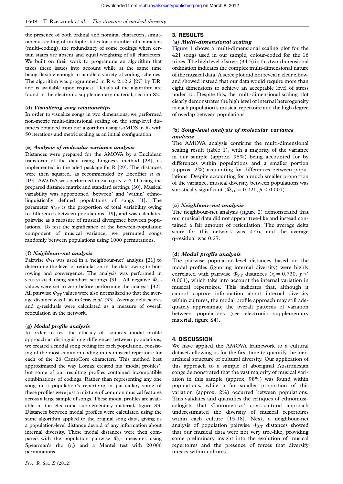the presence of both ordinal and nominal characters, simultaneous coding of multiple states for a number of characters (multi-coding), the redundancy of some codings when certain states are absent and equal weighting of all characters. We built on their work to programme an algorithm that takes these issues into account while at the same time being flexible enough to handle a variety of coding schemes. The algorithm was programmed in R v. 2.12.2 [[27\]](#page-7-0) by T.R. and is available upon request. Details of the algorithm are found in the electronic supplementary material, section S2.

## (d) Visualizing song relationships

In order to visualize songs in two dimensions, we performed non-metric multi-dimensional scaling on the song-level distances obtained from our algorithm using isoMDS in R, with 50 iterations and metric scaling as an initial configuration.

## (e) Analysis of molecular variance analysis

Distances were prepared for the AMOVA by a Euclidean transform of the data using Lingoes's method [\[28\]](#page-7-0), as implemented in the ade4 package for R [\[29](#page-7-0)]. The distances were then squared, as recommended by Excoffier et al. [\[19](#page-6-0)]. AMOVA was performed in ARLEQUIN v. 3.11 using the prepared distance matrix and standard settings [\[30](#page-7-0)]. Musical variability was apportioned 'between' and 'within' ethnolinguistically defined populations of songs [[1\]](#page-6-0). The parameter  $\Phi_{ST}$  is the proportion of total variability owing to differences between populations [\[19](#page-6-0)], and was calculated pairwise as a measure of musical divergence between populations. To test the significance of the between-population component of musical variance, we permuted songs randomly between populations using 1000 permutations.

## (f) Neighbour-net analysis

Pairwise  $\Phi_{ST}$  was used in a 'neighbour-net' analysis [\[21](#page-7-0)] to determine the level of reticulation in the data owing to borrowing and convergence. The analysis was performed in SPLITSTREE4 using standard settings [\[31](#page-7-0)]. All negative  $\Phi_{ST}$ values were set to zero before performing the analysis [[32\]](#page-7-0). All pairwise  $\Phi_{ST}$  values were also normalized so that the average distance was 1, as in Gray et al. [\[33](#page-7-0)]. Average delta scores and q-residuals were calculated as a measure of overall reticulation in the network.

# (g) Modal profile analysis

In order to test the efficacy of Lomax's modal profile approach at distinguishing differences between populations, we created a modal song coding for each population, consisting of the most common coding in its musical repertoire for each of the 26 CantoCore characters. This method best approximated the way Lomax created his 'modal profiles', but some of our resulting profiles contained incompatible combinations of codings. Rather than representing any one song in a population's repertoire in particular, some of these profiles were just a mixture of common musical features across a large sample of songs. These modal profiles are available in the electronic supplementary material, figure S3. Distances between modal profiles were calculated using the same algorithm applied to the original song data, giving us a population-level distance devoid of any information about internal diversity. These modal distances were then compared with the population pairwise  $\Phi_{ST}$  measures using Spearman's rho  $(r<sub>s</sub>)$  and a Mantel test with 20 000 permutations.

# 3. RESULTS

# (a) Multi-dimensional scaling

[Figure 1](#page-4-0) shows a multi-dimensional scaling plot for the 421 songs used in our sample, colour-coded for the 16 tribes. The high level of stress (34.3) in this two-dimensional ordination indicates the complex multi-dimensional nature of the musical data. A scree plot did not reveal a clear elbow, and showed instead that our data would require more than eight dimensions to achieve an acceptable level of stress under 10. Despite this, the multi-dimensional scaling plot clearly demonstrates the high level of internal heterogeneity in each population's musical repertoire and the high degree of overlap between populations.

# (b) Song-level analysis of molecular variance analysis

The AMOVA analysis confirms the multi-dimensional scaling result [\(table 1\)](#page-4-0), with a majority of the variance in our sample (approx. 98%) being accounted for by differences within populations and a smaller portion (approx. 2%) accounting for differences between populations. Despite accounting for a much smaller proportion of the variance, musical diversity between populations was statistically significant ( $\Phi_{ST} = 0.021, p \le 0.001$ ).

## (c) Neighbour-net analysis

The neighbour-net analysis [\(figure 2\)](#page-5-0) demonstrated that our musical data did not appear tree-like and instead contained a fair amount of reticulation. The average delta score for this network was 0.46, and the average q-residual was 0.27.

## (d) Modal profile analysis

The pairwise population-level distances based on the modal profiles (ignoring internal diversity) were highly correlated with pairwise  $\Phi_{ST}$  distances ( $r_s = 0.730, p <$ 0.001), which take into account the internal variation in musical repertoires. This indicates that, although it cannot capture information about internal diversity within cultures, the modal profile approach may still adequately approximate the overall patterns of variation between populations (see electronic supplementary material, figure S4).

# 4. DISCUSSION

We have applied the AMOVA framework to a cultural dataset, allowing us for the first time to quantify the hierarchical structure of cultural diversity. Our application of this approach to a sample of aboriginal Austronesian songs demonstrated that the vast majority of musical variation in this sample (approx. 98%) was found within populations, while a far smaller proportion of this variation (approx. 2%) occurred between populations. This validates and quantifies the critiques of ethnomusicologists that Cantometrics' cross-cultural approach underestimated the diversity of musical repertoires within each culture [[15,18\]](#page-6-0). Next, a neighbour-net analysis of population pairwise  $\Phi_{ST}$  distances showed that our musical data were not very tree-like, providing some preliminary insight into the evolution of musical repertoires and the presence of forces that diversify musics within cultures.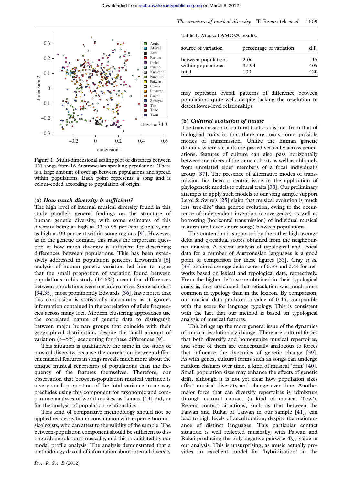<span id="page-4-0"></span>

Figure 1. Multi-dimensional scaling plot of distances between 421 songs from 16 Austronesian-speaking populations. There is a large amount of overlap between populations and spread within populations. Each point represents a song and is colour-coded according to population of origin.

### (a) How much diversity is sufficient?

The high level of internal musical diversity found in this study parallels general findings on the structure of human genetic diversity, with some estimates of this diversity being as high as 93 to 95 per cent globally, and as high as 99 per cent within some regions [[9\]](#page-6-0). However, as in the genetic domain, this raises the important question of how much diversity is sufficient for describing differences between populations. This has been extensively addressed in population genetics. Lewontin's [[8\]](#page-6-0) analysis of human genetic variation led him to argue that the small proportion of variation found between populations in his study (14.6%) meant that differences between populations were not informative. Some scholars [\[34,35\]](#page-7-0), most prominently Edwards [[36](#page-7-0)], have noted that this conclusion is statistically inaccurate, as it ignores information contained in the correlation of allele frequencies across many loci. Modern clustering approaches use the correlated nature of genetic data to distinguish between major human groups that coincide with their geographical distribution, despite the small amount of variation  $(3-5\%)$  accounting for these differences [\[9\]](#page-6-0).

This situation is qualitatively the same in the study of musical diversity, because the correlation between different musical features in songs reveals much more about the unique musical repertoires of populations than the frequency of the features themselves. Therefore, our observation that between-population musical variance is a very small proportion of the total variance in no way precludes using this component for taxonomic and comparative analyses of world musics, as Lomax [\[14\]](#page-6-0) did, or for the analysis of population relationships.

This kind of comparative methodology should not be applied recklessly but in consultation with expert ethnomusicologists, who can attest to the validity of the sample. The between-population component should be sufficient to distinguish populations musically, and this is validated by our modal profile analysis. The analysis demonstrated that a methodology devoid of information about internal diversity

Table 1. Musical AMOVA results.

| source of variation | percentage of variation | d.f. |
|---------------------|-------------------------|------|
| between populations | 2.06                    | 15   |
| within populations  | 97.94                   | 405  |
| total               | 100                     | 420  |

may represent overall patterns of difference between populations quite well, despite lacking the resolution to detect lower-level relationships.

## (b) Cultural evolution of music

The transmission of cultural traits is distinct from that of biological traits in that there are many more possible modes of transmission. Unlike the human genetic domain, where variants are passed vertically across generations, features of culture can also pass horizontally between members of the same cohort, as well as obliquely from unrelated elder members of a focal individual's group [[37\]](#page-7-0). The presence of alternative modes of transmission has been a central issue in the application of phylogenetic models to cultural traits [[38\]](#page-7-0). Our preliminary attempts to apply such models to our song sample support Leroi & Swire's [\[25\]](#page-7-0) claim that musical evolution is much less 'tree-like' than genetic evolution, owing to the occurrence of independent invention (convergence) as well as borrowing (horizontal transmission) of individual musical features (and even entire songs) between populations.

This contention is supported by the rather high average delta and q-residual scores obtained from the neighbournet analysis. A recent analysis of typological and lexical data for a number of Austronesian languages is a good point of comparison for these figures [\[33](#page-7-0)]. Gray et al. [\[33](#page-7-0)] obtained average delta scores of 0.33 and 0.44 for networks based on lexical and typological data, respectively. From the higher delta score obtained in their typological analysis, they concluded that reticulation was much more common in typology than in the lexicon. By comparison, our musical data produced a value of 0.46, comparable with the score for language typology. This is consistent with the fact that our method is based on typological analysis of musical features.

This brings up the more general issue of the dynamics of musical evolutionary change. There are cultural forces that both diversify and homogenize musical repertoires, and some of them are conceptually analogous to forces that influence the dynamics of genetic change [[39](#page-7-0)]. As with genes, cultural forms such as songs can undergo random changes over time, a kind of musical 'drift' [[40](#page-7-0)]. Small population sizes may enhance the effects of genetic drift, although it is not yet clear how population sizes affect musical diversity and change over time. Another major force that can diversify repertoires is admixture through cultural contact (a kind of musical 'flow'). Recent contact situations, such as that between the Paiwan and Rukai of Taiwan in our sample [\[41\]](#page-7-0), can lead to high levels of acculturation, despite the maintenance of distinct languages. This particular contact situation is well reflected musically, with Paiwan and Rukai producing the only negative pairwise  $\Phi_{ST}$  value in our analysis. This is unsurprising, as music actually provides an excellent model for 'hybridization' in the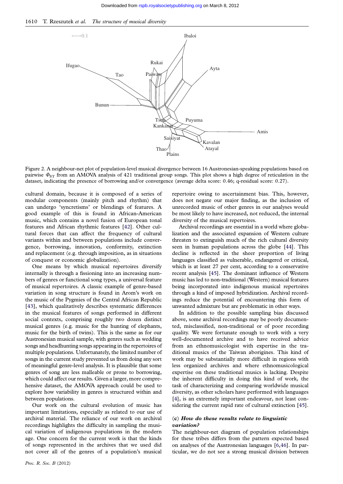<span id="page-5-0"></span>



Figure 2. A neighbour-net plot of population-level musical divergence between 16 Austronesian-speaking populations based on pairwise  $\Phi_{ST}$  from an AMOVA analysis of 421 traditional group songs. This plot shows a high degree of reticulation in the dataset, indicating the presence of borrowing and/or convergence (average delta score: 0.46; q-residual score: 0.27).

cultural domain, because it is composed of a series of modular components (mainly pitch and rhythm) that can undergo 'syncretisms' or blendings of features. A good example of this is found in African-American music, which contains a novel fusion of European tonal features and African rhythmic features [\[42](#page-7-0)]. Other cultural forces that can affect the frequency of cultural variants within and between populations include convergence, borrowing, innovation, conformity, extinction and replacement (e.g. through imposition, as in situations of conquest or economic globalization).

One means by which musical repertoires diversify internally is through a fissioning into an increasing numbers of genres or functional song types, a universal feature of musical repertoires. A classic example of genre-based variation in song structure is found in Arom's work on the music of the Pygmies of the Central African Republic [\[43\]](#page-7-0), which qualitatively describes systematic differences in the musical features of songs performed in different social contexts, comprising roughly two dozen distinct musical genres (e.g. music for the hunting of elephants, music for the birth of twins). This is the same as for our Austronesian musical sample, with genres such as wedding songs and headhunting songs appearing in the repertoires of multiple populations. Unfortunately, the limited number of songs in the current study prevented us from doing any sort of meaningful genre-level analysis. It is plausible that some genres of song are less malleable or prone to borrowing, which could affect our results. Given a larger, more comprehensive dataset, the AMOVA approach could be used to explore how variability in genres is structured within and between populations.

Our work on the cultural evolution of music has important limitations, especially as related to our use of archival material. The reliance of our work on archival recordings highlights the difficulty in sampling the musical variation of indigenous populations in the modern age. One concern for the current work is that the kinds of songs represented in the archives that we used did not cover all of the genres of a population's musical

repertoire owing to ascertainment bias. This, however, does not negate our major finding, as the inclusion of unrecorded music of other genres in our analyses would be most likely to have increased, not reduced, the internal diversity of the musical repertoires.

Archival recordings are essential in a world where globalization and the associated expansion of Western culture threaten to extinguish much of the rich cultural diversity seen in human populations across the globe [[44](#page-7-0)]. This decline is reflected in the sheer proportion of living languages classified as vulnerable, endangered or critical, which is at least 27 per cent, according to a conservative recent analysis [[45](#page-7-0)]. The dominant influence of Western music has led to non-traditional (Western) musical features being incorporated into indigenous musical repertoires through a kind of imposed hybridization. Archival recordings reduce the potential of encountering this form of unwanted admixture but are problematic in other ways.

In addition to the possible sampling bias discussed above, some archival recordings may be poorly documented, misclassified, non-traditional or of poor recording quality. We were fortunate enough to work with a very well-documented archive and to have received advice from an ethnomusicologist with expertise in the traditional musics of the Taiwan aborigines. This kind of work may be substantially more difficult in regions with less organized archives and where ethnomusicological expertise on these traditional musics is lacking. Despite the inherent difficulty in doing this kind of work, the task of characterizing and comparing worldwide musical diversity, as other scholars have performed with languages [\[4\]](#page-6-0), is an extremely important endeavour, not least considering the current rapid rate of cultural extinction [[45](#page-7-0)].

## (c) How do these results relate to linguistic variation?

The neighbour-net diagram of population relationships for these tribes differs from the pattern expected based on analyses of the Austronesian languages [\[6](#page-6-0),[46](#page-7-0)]. In particular, we do not see a strong musical division between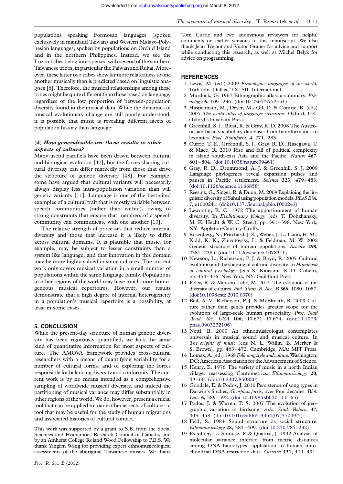<span id="page-6-0"></span>populations speaking Formosan languages (spoken exclusively in mainland Taiwan) and Western Malayo-Polynesian languages, spoken by populations on Orchid Island and in the northern Philippines. Instead, we see the Luzon tribes being interspersed with several of the southern Taiwanese tribes, in particular the Paiwan and Rukai.Moreover, these latter two tribes show far more relatedness to one another musically than is predicted based on linguistic analyses [6]. Therefore, the musical relationships among these tribes might be quite different than those based on language, regardless of the low proportion of between-population diversity found in the musical data. While the dynamics of musical evolutionary change are still poorly understood, it is possible that music is revealing different facets of population history than language.

## (d) How generalizable are these results to other aspects of culture?

Many useful parallels have been drawn between cultural and biological evolution [[47](#page-7-0)], but the forces shaping cultural diversity can differ markedly from those that drive the structure of genetic diversity [[48](#page-7-0)]. For example, some have argued that cultural variants will necessarily always display less intra-population variation than will genetic variants [11]. Language is one of the best-cited examples of a cultural trait that is mostly variable between speech communities (rather than within), owing to strong constraints that ensure that members of a speech community can communicate with one another [10].

The relative strength of processes that reduce internal diversity and those that increase it is likely to differ across cultural domains. It is plausible that music, for example, may be subject to lesser constraints than a system like language, and that innovation in this domain may be more highly valued in some cultures. The current work only covers musical variation in a small number of populations within the same language family. Populations in other regions of the world may have much more homogeneous musical repertoires. However, our results demonstrate that a high degree of internal heterogeneity in a population's musical repertoire is a possibility, at least in some cases.

## 5. CONCLUSION

While the present-day structure of human genetic diversity has been rigorously quantified, we lack the same kind of quantitative information for most aspects of culture. The AMOVA framework provides cross-cultural researchers with a means of quantifying variability for a number of cultural forms, and of exploring the forces responsible for balancing diversity and conformity. The current work is by no means intended as a comprehensive sampling of worldwide musical diversity, and indeed the partitioning of musical variance may differ substantially in other regions of the world. We do, however, present a crucial tool that can be applied to many other aspects of culture—a tool that may be useful for the study of human migrations and associated histories of cultural contact.

This work was supported by a grant to S.B. from the Social Sciences and Humanities Research Council of Canada, and by an Amherst College Roland Wood Fellowship to P.E.S. We thank Yingfen Wang for providing expert ethnomusicological assessments of the aboriginal Taiwanese musics. We thank Tom Currie and two anonymous reviewers for helpful comments on earlier versions of this manuscript. We also thank Jean Trejaut and Victor Grauer for advice and support while conducting this research, as well as Michel Belyk for advice on programming.

#### REFERENCES

- 1 Lewis, M. (ed.) 2009 Ethnologue: languages of the world, 16th edn. Dallas, TX: SIL International.
- 2 Murdock, G. 1967 Ethnographic atlas: a summary. Eth-nology 6, 109-236. [\(doi:10.2307/3772751](http://dx.doi.org/10.2307/3772751))
- 3 Haspelmath, M., Dryer, M., Gil, D. & Comrie, B. (eds) 2005 The world atlas of language structures. Oxford, UK: Oxford University Press.
- 4 Greenhill, S. J., Blust, R. & Gray, R. D. 2008 The Austronesian basic vocabulary database: from bioinformatics to lexomics. Evol. Bioinform. 4, 271-283.
- 5 Currie, T. E., Greenhill, S. J., Gray, R. D., Hasegawa, T. & Mace, R. 2010 Rise and fall of political complexity in island south-east Asia and the Pacific. Nature 467, 801 –804. ([doi:10.1038/nature09461](http://dx.doi.org/10.1038/nature09461))
- 6 Gray, R. D., Drummond, A. J. & Greenhill, S. J. 2009 Language phylogenies reveal expansion pulses and pauses in Pacific settlement. Science 323, 479 –483. ([doi:10.1126/science.1166858](http://dx.doi.org/10.1126/science.1166858))
- 7 Reesink, G., Singer, R. & Dunn, M. 2009 Explaining the linguistic diversity of Sahul using population models.PLoS Biol. 7, e1000241. ([doi:10.1371/journal.pbio.1000241](http://dx.doi.org/10.1371/journal.pbio.1000241))
- 8 Lewontin, R. C. 1972 The apportionment of human diversity. In Evolutionary biology (eds T. Dobzhansky, M. K. Hecht & W. C. Steer), pp. 391–398. New York, NY: Appleton-Century-Crofts.
- 9 Rosenberg, N., Pritchard, J. K., Weber, J. L., Cann, H. M., Kidd, K. K., Zhivotovsky, L. & Feldman, M. W. 2002 Genetic structure of human populations. Science 298, 2381–2385. [\(doi:10.1126/science.1078311\)](http://dx.doi.org/10.1126/science.1078311)
- 10 Newson, L., Richerson, P. J. & Boyd, R. 2007 Cultural evolution and the shaping of cultural diversity. In Handbook of cultural psychology (eds S. Kitayama & D. Cohen), pp. 454–476. New York, NY: Guildford Press.
- 11 Foley, R. & Mirazón Lahr, M. 2011 The evolution of the diversity of cultures. Phil. Trans. R. Soc. B 366, 1080-1087. [\(doi:10.1098/rstb.2010.0370](http://dx.doi.org/10.1098/rstb.2010.0370))
- 12 Bell, A. V., Richerson, P. J. & McElreath, R. 2009 Culture rather than genes provides greater scope for the evolution of large-scale human prosociality. Proc. Natl Acad. Sci. USA 106, 17 671-17 674. ([doi:10.1073/](http://dx.doi.org/10.1073/pnas.0903232106) [pnas.0903232106](http://dx.doi.org/10.1073/pnas.0903232106))
- 13 Nettl, B. 2000 An ethnomusicologist contemplates universals in musical sound and musical culture. In The origins of music (eds N. L. Wallin, B. Merker & S. Brown), pp. 463-472. Cambridge, MA: MIT Press.
- 14 Lomax, A. (ed.) 1968 Folk song style and culture. Washington, DC: American Association for the Advancement of Science.
- 15 Henry, E. 1976 The variety of music in a north Indian village: reassessing Cantometrics. Ethnomusicology 20, 49–66. [\(doi:10.2307/850820](http://dx.doi.org/10.2307/850820))
- 16 Goodale, E. & Podos, J. 2010 Persistence of song types in Darwin's finches, Geospiza fortis, over four decades. Biol. Lett. 6, 589–592. ([doi:10.1098/rsbl.2010.0165](http://dx.doi.org/10.1098/rsbl.2010.0165))
- 17 Podos, J. & Warren, P. S. 2007 The evolution of geographic variation in birdsong. Adv. Stud. Behav. 37, 403 –458. [\(doi:10.1016/S0065-3454\(07\)37009-5](http://dx.doi.org/10.1016/S0065-3454(07)37009-5))
- 18 Feld, S. 1984 Sound structure as social structure. Ethnomusicology 28, 383–409. [\(doi:10.2307/851232](http://dx.doi.org/10.2307/851232))
- 19 Excoffier, L., Smouse, P. & Quattro, J. 1992 Analysis of molecular variance inferred from metric distances among DNA haplotypes: application to human mitochondrial DNA restriction data. Genetics 131, 479–491.